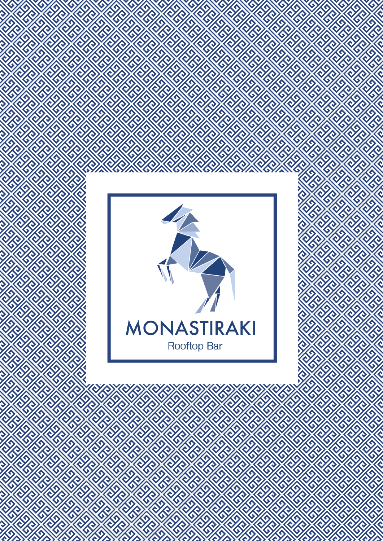

O

ZA ZA ZA ZA ZA ZA ZA ZA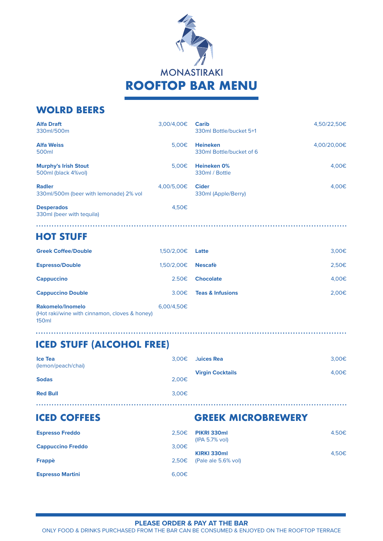

| WULKU DEEKS                                             |                   |                                             |             |
|---------------------------------------------------------|-------------------|---------------------------------------------|-------------|
| <b>Alfa Draft</b><br>330ml/500m                         | 3,00/4,00€        | <b>Carib</b><br>330ml Bottle/bucket 5+1     | 4,50/22,50€ |
| <b>Alfa Weiss</b><br>500ml                              | 5.00 <sub>€</sub> | <b>Heineken</b><br>330ml Bottle/bucket of 6 | 4,00/20,00€ |
| <b>Murphy's Irish Stout</b><br>500ml (black 4%vol)      | 5.00€             | <b>Heineken 0%</b><br>330ml / Bottle        | 4,00€       |
| <b>Radler</b><br>330ml/500m (beer with lemonade) 2% vol | 4,00/5,00€        | <b>Cider</b><br>330ml (Apple/Berry)         | 4,00€       |
| <b>Desperados</b><br>330ml (beer with tequila)          | 4,50€             |                                             |             |

#### 

#### **HOT STUFF**

**WOLRD BEERS**

150ml

. . . . . . . . . . . . . . .

| <b>Greek Coffee/Double</b>                                        | 1.50/2.00€        | Latte                       | $3,00 \in$ |
|-------------------------------------------------------------------|-------------------|-----------------------------|------------|
| <b>Espresso/Double</b>                                            | 1.50/2.00€        | <b>Nescafè</b>              | 2,50€      |
| <b>Cappuccino</b>                                                 | 2.50€             | <b>Chocolate</b>            | 4,00€      |
| <b>Cappuccino Double</b>                                          | 3.00 <sub>€</sub> | <b>Teas &amp; Infusions</b> | 2.00€      |
| Rakomelo/Inomelo<br>(Hot raki/wine with cinnamon, cloves & honey) | 6.00/4.50€        |                             |            |

# **ICED STUFF (ALCOHOL FREE)**

| <b>Ice Tea</b><br>(lemon/peach/chai) | $3,00\epsilon$    | Juices Rea              | 3,00€ |
|--------------------------------------|-------------------|-------------------------|-------|
| <b>Sodas</b>                         | 2.00€             | <b>Virgin Cocktails</b> | 4,00€ |
|                                      |                   |                         |       |
| <b>Red Bull</b>                      | 3.00 <sub>€</sub> |                         |       |

# **ICED COFFEES GREEK MICROBREWERY**

| <b>Espresso Freddo</b>   | 2.50€ | <b>PIKRI 330ml</b><br>$(IPA 5.7\% vol)$ | 4.50€ |
|--------------------------|-------|-----------------------------------------|-------|
| <b>Cappuccino Freddo</b> | 3,00€ |                                         |       |
|                          |       | KIRKI 330ml                             | 4.50€ |
| Frappè                   |       | $2,50€$ (Pale ale 5.6% vol)             |       |
|                          |       |                                         |       |
| <b>Espresso Martini</b>  | 6.00E |                                         |       |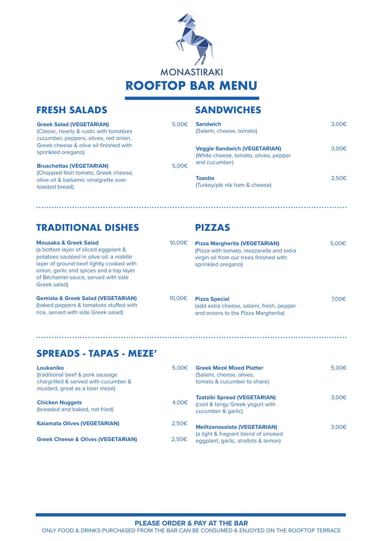

#### **FRESH SALADS SANDWICHES**

| <b>Greek Salad (VEGETARIAN)</b><br>(Classic, hearty & rustic with tomatoes<br>cucumber, peppers, olives, red onion, | $5.00 \in$ | <b>Sandwich</b><br>(Salami, cheese, tomato)                                  | 3.00 <sub>€</sub> |
|---------------------------------------------------------------------------------------------------------------------|------------|------------------------------------------------------------------------------|-------------------|
| Greek cheese & olive oil finished with<br>sprinkled oregano)                                                        |            | <b>Veggie Sandwich (VEGETARIAN)</b><br>(White cheese, tomato, olives, pepper | 3.00 <sub>€</sub> |
| <b>Bruschettas (VEGETARIAN)</b>                                                                                     | 5.00€      | and cucumber)                                                                |                   |
| (Chopped fesh tomato, Greek cheese,<br>olive oil & balsamic vinaigrette over<br>toasted bread)                      |            | <b>Toastie</b><br>(Turkey/pik nik ham & cheese)                              | 2.50 <sub>€</sub> |
|                                                                                                                     |            |                                                                              |                   |

## **TRADITIONAL DISHES PIZZAS**

**Mousaka & Greek Salad** (a bottom layer of sliced eggplant & potatoes sautéed in olive oil; a middle layer of ground beef lightly cooked with onion, garlic and spices and a top layer of Béchamel sauce, served with side Greek salad)

**Gemista & Greek Salad (VEGETARIAN)** (baked peppers & tomatoes stuffed with rice, served with side Greek salad)

| 10.00€ | <b>Pizza Margherita (VEGETARIAN)</b><br>(Pizza with tomato, mozzarella and extra<br>virgin oil from our trees finished with | $5.00 \in$ |
|--------|-----------------------------------------------------------------------------------------------------------------------------|------------|
|        | sprinkled oregano)                                                                                                          |            |

**Pizza Special** 7,00€ (add extra cheese, salami, fresh, pepper and onions to the Pizza Margherita)

#### **SPREADS - TAPAS - MEZE'**

| Loukaniko<br>(traditional beef & pork sausage)<br>chargrilled & served with cucumber &<br>mustard, great as a beer mezé) | 5.00 <sub>ε</sub> | <b>Greek Mezé Mixed Platter</b><br>(Salami, cheese, olives,<br>tomato & cucumber to share)   | 5,00€ |
|--------------------------------------------------------------------------------------------------------------------------|-------------------|----------------------------------------------------------------------------------------------|-------|
| <b>Chicken Nuggets</b><br>(breaded and baked, not fried)                                                                 | 4.00€             | <b>Tzatziki Spread (VEGETARIAN)</b><br>(cool & tangy Greek yogurt with<br>cucumber & garlic) | 3.00€ |
| <b>Kalamata Olives (VEGETARIAN)</b>                                                                                      | 2.50 <sub>€</sub> | <b>Melitzanosalata (VEGETARIAN)</b>                                                          | 3.00€ |
| <b>Greek Cheese &amp; Olives (VEGETARIAN)</b>                                                                            | $2,50 \in$        | (a light & fragrant blend of smoked<br>eggplant, garlic, shallots & lemon)                   |       |

ONLY FOOD & DRINKS PURCHASED FROM THE BAR CAN BE CONSUMED & ENJOYED ON THE ROOFTOP TERRACE